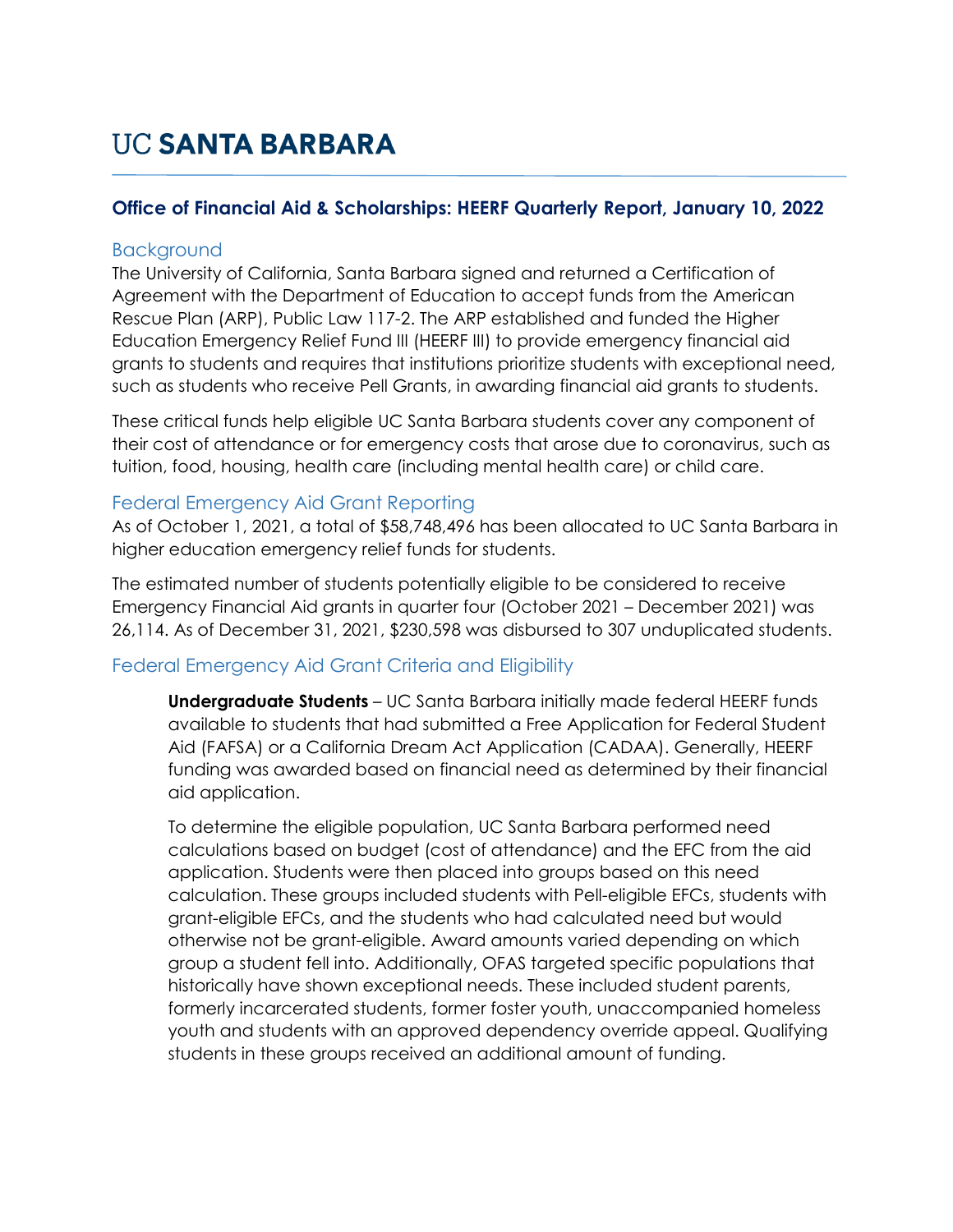## **UC SANTA BARBARA**

#### **Office of Financial Aid & Scholarships: HEERF Quarterly Report, January 10, 2022**

#### Background

The University of California, Santa Barbara signed and returned a Certification of Agreement with the Department of Education to accept funds from the American Rescue Plan (ARP), Public Law 117-2. The ARP established and funded the Higher Education Emergency Relief Fund III (HEERF III) to provide emergency financial aid grants to students and requires that institutions prioritize students with exceptional need, such as students who receive Pell Grants, in awarding financial aid grants to students.

These critical funds help eligible UC Santa Barbara students cover any component of their cost of attendance or for emergency costs that arose due to coronavirus, such as tuition, food, housing, health care (including mental health care) or child care.

#### Federal Emergency Aid Grant Reporting

As of October 1, 2021, a total of \$58,748,496 has been allocated to UC Santa Barbara in higher education emergency relief funds for students.

The estimated number of students potentially eligible to be considered to receive Emergency Financial Aid grants in quarter four (October 2021 – December 2021) was 26,114. As of December 31, 2021, \$230,598 was disbursed to 307 unduplicated students.

### Federal Emergency Aid Grant Criteria and Eligibility

**Undergraduate Students** – UC Santa Barbara initially made federal HEERF funds available to students that had submitted a Free Application for Federal Student Aid (FAFSA) or a California Dream Act Application (CADAA). Generally, HEERF funding was awarded based on financial need as determined by their financial aid application.

To determine the eligible population, UC Santa Barbara performed need calculations based on budget (cost of attendance) and the EFC from the aid application. Students were then placed into groups based on this need calculation. These groups included students with Pell-eligible EFCs, students with grant-eligible EFCs, and the students who had calculated need but would otherwise not be grant-eligible. Award amounts varied depending on which group a student fell into. Additionally, OFAS targeted specific populations that historically have shown exceptional needs. These included student parents, formerly incarcerated students, former foster youth, unaccompanied homeless youth and students with an approved dependency override appeal. Qualifying students in these groups received an additional amount of funding.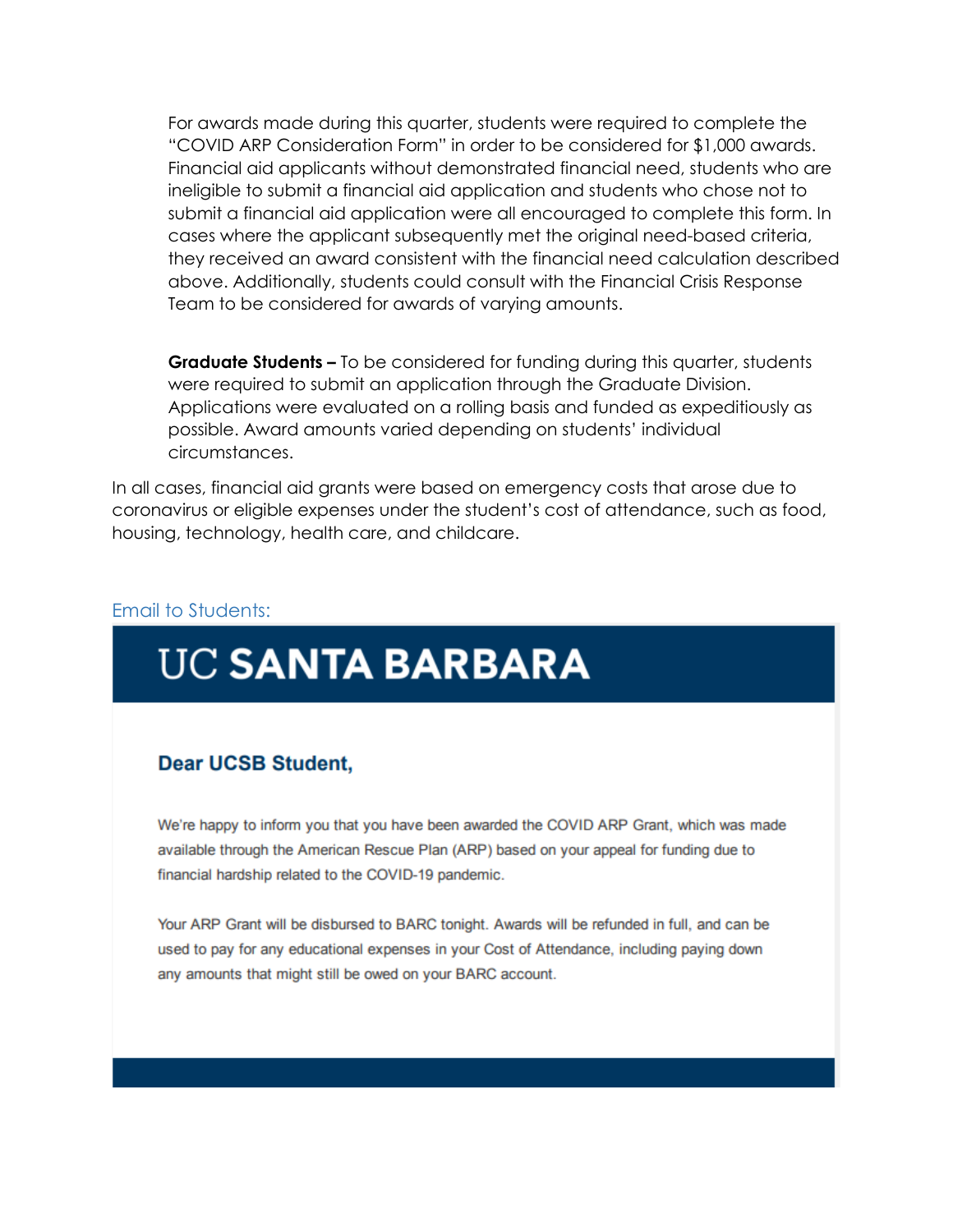For awards made during this quarter, students were required to complete the "COVID ARP Consideration Form" in order to be considered for \$1,000 awards. Financial aid applicants without demonstrated financial need, students who are ineligible to submit a financial aid application and students who chose not to submit a financial aid application were all encouraged to complete this form. In cases where the applicant subsequently met the original need-based criteria, they received an award consistent with the financial need calculation described above. Additionally, students could consult with the Financial Crisis Response Team to be considered for awards of varying amounts.

**Graduate Students –** To be considered for funding during this quarter, students were required to submit an application through the Graduate Division. Applications were evaluated on a rolling basis and funded as expeditiously as possible. Award amounts varied depending on students' individual circumstances.

In all cases, financial aid grants were based on emergency costs that arose due to coronavirus or eligible expenses under the student's cost of attendance, such as food, housing, technology, health care, and childcare.

#### Email to Students:

# **UC SANTA BARBARA**

#### **Dear UCSB Student.**

We're happy to inform you that you have been awarded the COVID ARP Grant, which was made available through the American Rescue Plan (ARP) based on your appeal for funding due to financial hardship related to the COVID-19 pandemic.

Your ARP Grant will be disbursed to BARC tonight. Awards will be refunded in full, and can be used to pay for any educational expenses in your Cost of Attendance, including paying down any amounts that might still be owed on your BARC account.